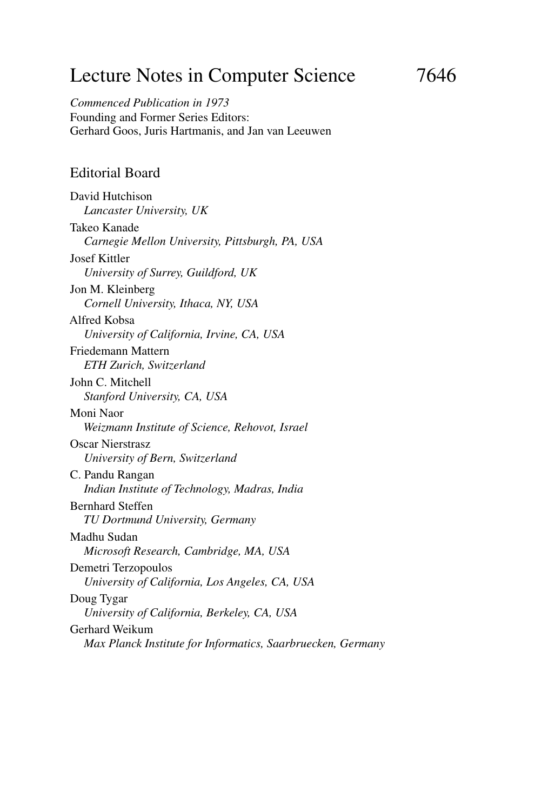# Lecture Notes in Computer Science 7646

*Commenced Publication in 1973* Founding and Former Series Editors: Gerhard Goos, Juris Hartmanis, and Jan van Leeuwen

## Editorial Board

David Hutchison *Lancaster University, UK* Takeo Kanade *Carnegie Mellon University, Pittsburgh, PA, USA* Josef Kittler *University of Surrey, Guildford, UK* Jon M. Kleinberg *Cornell University, Ithaca, NY, USA* Alfred Kobsa *University of California, Irvine, CA, USA* Friedemann Mattern *ETH Zurich, Switzerland* John C. Mitchell *Stanford University, CA, USA* Moni Naor *Weizmann Institute of Science, Rehovot, Israel* Oscar Nierstrasz *University of Bern, Switzerland* C. Pandu Rangan *Indian Institute of Technology, Madras, India* Bernhard Steffen *TU Dortmund University, Germany* Madhu Sudan *Microsoft Research, Cambridge, MA, USA* Demetri Terzopoulos *University of California, Los Angeles, CA, USA* Doug Tygar *University of California, Berkeley, CA, USA* Gerhard Weikum *Max Planck Institute for Informatics, Saarbruecken, Germany*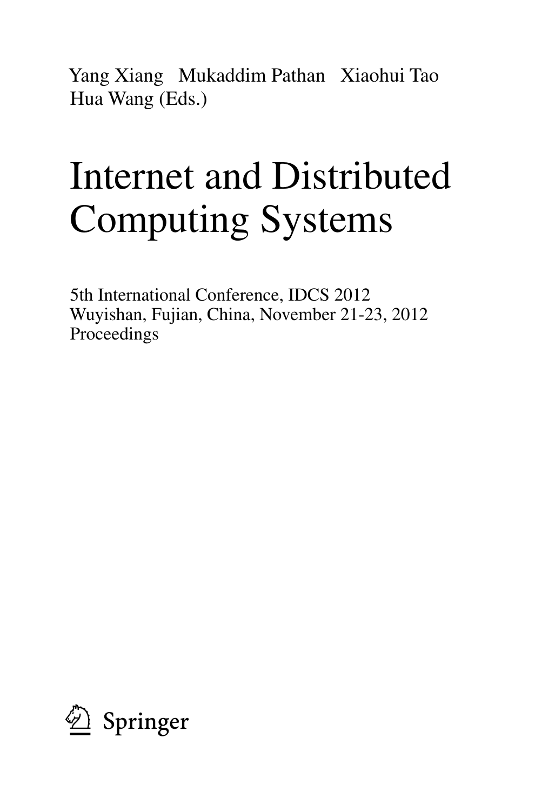Yang Xiang Mukaddim Pathan Xiaohui Tao Hua Wang (Eds.)

# Internet and Distributed Computing Systems

5th International Conference, IDCS 2012 Wuyishan, Fujian, China, November 21-23, 2012 Proceedings

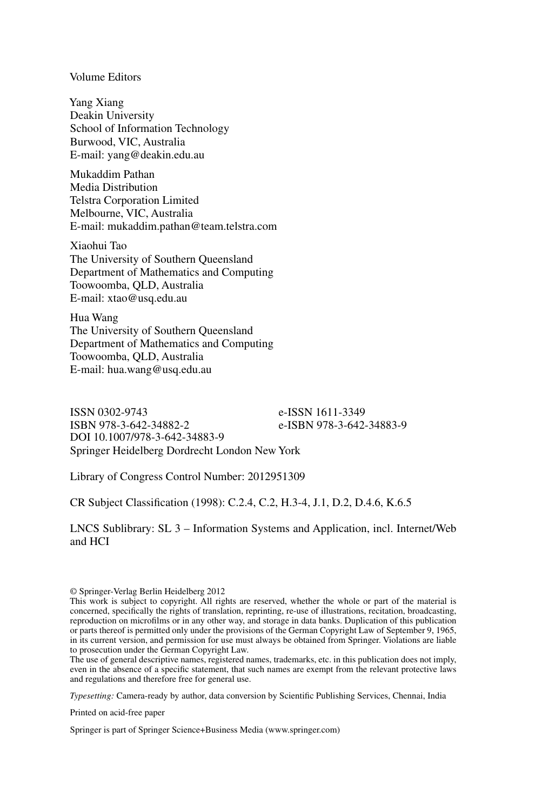#### Volume Editors

Yang Xiang Deakin University School of Information Technology Burwood, VIC, Australia E-mail: yang@deakin.edu.au

Mukaddim Pathan Media Distribution Telstra Corporation Limited Melbourne, VIC, Australia E-mail: mukaddim.pathan@team.telstra.com

Xiaohui Tao The University of Southern Queensland Department of Mathematics and Computing Toowoomba, QLD, Australia E-mail: xtao@usq.edu.au

Hua Wang The University of Southern Queensland Department of Mathematics and Computing Toowoomba, QLD, Australia E-mail: hua.wang@usq.edu.au

ISSN 0302-9743 e-ISSN 1611-3349 e-ISBN 978-3-642-34883-9 DOI 10.1007/978-3-642-34883-9 Springer Heidelberg Dordrecht London New York

Library of Congress Control Number: 2012951309

CR Subject Classification (1998): C.2.4, C.2, H.3-4, J.1, D.2, D.4.6, K.6.5

LNCS Sublibrary: SL 3 – Information Systems and Application, incl. Internet/Web and HCI

The use of general descriptive names, registered names, trademarks, etc. in this publication does not imply, even in the absence of a specific statement, that such names are exempt from the relevant protective laws and regulations and therefore free for general use.

*Typesetting:* Camera-ready by author, data conversion by Scientific Publishing Services, Chennai, India

Printed on acid-free paper

Springer is part of Springer Science+Business Media (www.springer.com)

<sup>©</sup> Springer-Verlag Berlin Heidelberg 2012

This work is subject to copyright. All rights are reserved, whether the whole or part of the material is concerned, specifically the rights of translation, reprinting, re-use of illustrations, recitation, broadcasting, reproduction on microfilms or in any other way, and storage in data banks. Duplication of this publication or parts thereof is permitted only under the provisions of the German Copyright Law of September 9, 1965, in its current version, and permission for use must always be obtained from Springer. Violations are liable to prosecution under the German Copyright Law.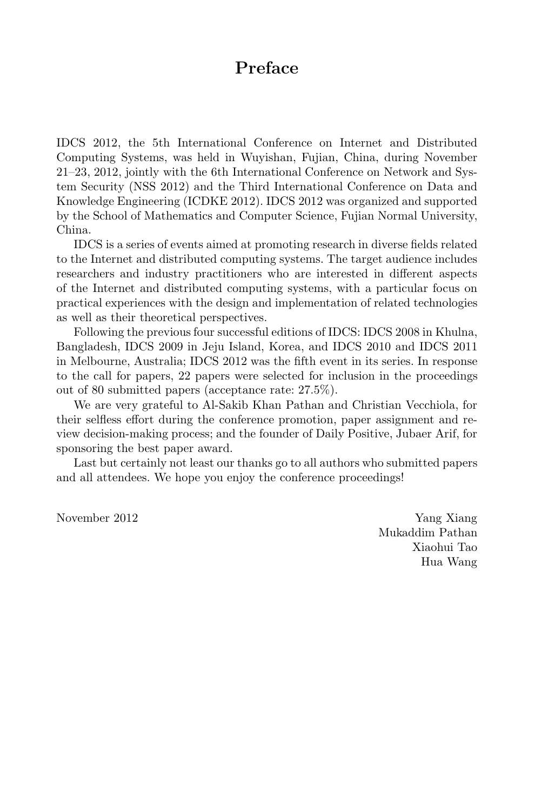## **Preface**

IDCS 2012, the 5th International Conference on Internet and Distributed Computing Systems, was held in Wuyishan, Fujian, China, during November 21–23, 2012, jointly with the 6th International Conference on Network and System Security (NSS 2012) and the Third International Conference on Data and Knowledge Engineering (ICDKE 2012). IDCS 2012 was organized and supported by the School of Mathematics and Computer Science, Fujian Normal University, China.

IDCS is a series of events aimed at promoting research in diverse fields related to the Internet and distributed computing systems. The target audience includes researchers and industry practitioners who are interested in different aspects of the Internet and distributed computing systems, with a particular focus on practical experiences with the design and implementation of related technologies as well as their theoretical perspectives.

Following the previous four successful editions of IDCS: IDCS 2008 in Khulna, Bangladesh, IDCS 2009 in Jeju Island, Korea, and IDCS 2010 and IDCS 2011 in Melbourne, Australia; IDCS 2012 was the fifth event in its series. In response to the call for papers, 22 papers were selected for inclusion in the proceedings out of 80 submitted papers (acceptance rate: 27.5%).

We are very grateful to Al-Sakib Khan Pathan and Christian Vecchiola, for their selfless effort during the conference promotion, paper assignment and review decision-making process; and the founder of Daily Positive, Jubaer Arif, for sponsoring the best paper award.

Last but certainly not least our thanks go to all authors who submitted papers and all attendees. We hope you enjoy the conference proceedings!

November 2012 Yang Xiang Mukaddim Pathan Xiaohui Tao Hua Wang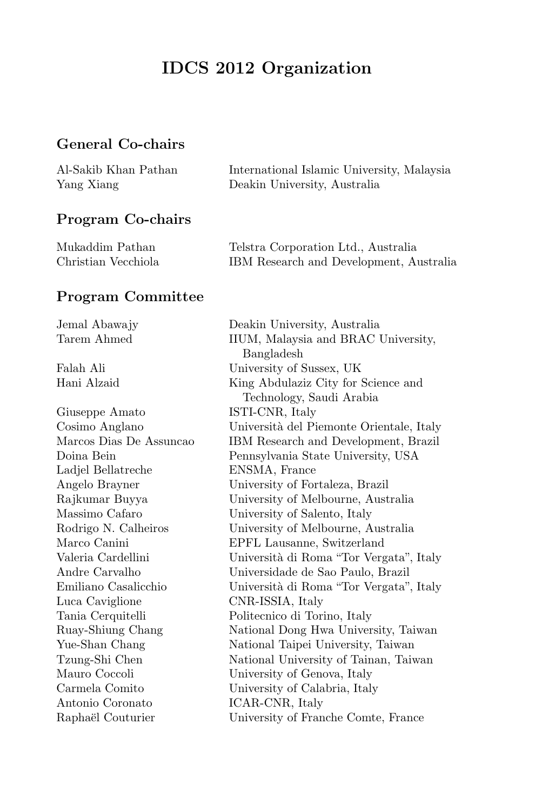## **IDCS 2012 Organization**

### **General Co-chairs**

| Al-Sakib Khan Pathan | International Islamic University, Malaysia |
|----------------------|--------------------------------------------|
| Yang Xiang           | Deakin University, Australia               |

#### **Program Co-chairs**

| Mukaddim Pathan     | Telstra Corporation Ltd., Australia     |
|---------------------|-----------------------------------------|
| Christian Vecchiola | IBM Research and Development, Australia |

#### **Program Committee**

Giuseppe Amato ISTI-CNR, Italy Ladjel Bellatreche ENSMA, France Luca Caviglione CNR-ISSIA, Italy Antonio Coronato ICAR-CNR, Italy

Jemal Abawajy Deakin University, Australia Tarem Ahmed IIUM, Malaysia and BRAC University, Bangladesh Falah Ali University of Sussex, UK Hani Alzaid King Abdulaziz City for Science and Technology, Saudi Arabia Cosimo Anglano Università del Piemonte Orientale, Italy Marcos Dias De Assuncao IBM Research and Development, Brazil Doina Bein Pennsylvania State University, USA Angelo Brayner University of Fortaleza, Brazil Rajkumar Buyya University of Melbourne, Australia Massimo Cafaro University of Salento, Italy Rodrigo N. Calheiros University of Melbourne, Australia Marco Canini EPFL Lausanne, Switzerland Valeria Cardellini Università di Roma "Tor Vergata", Italy Andre Carvalho Universidade de Sao Paulo, Brazil Emiliano Casalicchio Università di Roma "Tor Vergata", Italy Tania Cerquitelli Politecnico di Torino, Italy Ruay-Shiung Chang National Dong Hwa University, Taiwan Yue-Shan Chang National Taipei University, Taiwan Tzung-Shi Chen National University of Tainan, Taiwan Mauro Coccoli University of Genova, Italy Carmela Comito University of Calabria, Italy Raphaël Couturier University of Franche Comte, France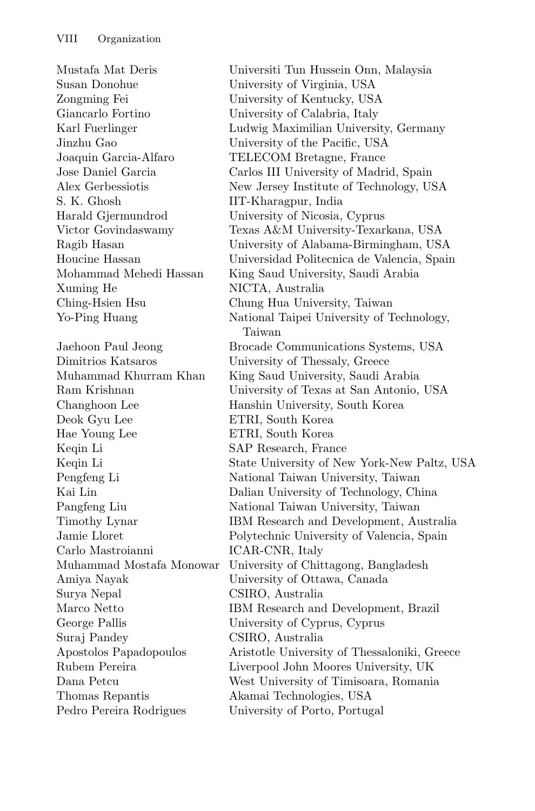Susan Donohue University of Virginia, USA Zongming Fei University of Kentucky, USA Giancarlo Fortino University of Calabria, Italy Joaquin Garcia-Alfaro TELECOM Bretagne, France S. K. Ghosh IIT-Kharagpur, India Harald Gjermundrod University of Nicosia, Cyprus Xuming He NICTA, Australia Deok Gyu Lee ETRI, South Korea Hae Young Lee ETRI, South Korea Keqin Li SAP Research, France Carlo Mastroianni ICAR-CNR, Italy Surya Nepal CSIRO, Australia George Pallis University of Cyprus, Cyprus Suraj Pandey CSIRO, Australia Thomas Repantis Akamai Technologies, USA

Mustafa Mat Deris Universiti Tun Hussein Onn, Malaysia Karl Fuerlinger Ludwig Maximilian University, Germany Jinzhu Gao University of the Pacific, USA Jose Daniel Garcia Carlos III University of Madrid, Spain Alex Gerbessiotis New Jersey Institute of Technology, USA Victor Govindaswamy Texas A&M University-Texarkana, USA Ragib Hasan University of Alabama-Birmingham, USA Houcine Hassan Universidad Politecnica de Valencia, Spain Mohammad Mehedi Hassan King Saud University, Saudi Arabia Ching-Hsien Hsu Chung Hua University, Taiwan Yo-Ping Huang National Taipei University of Technology, Taiwan Jaehoon Paul Jeong Brocade Communications Systems, USA Dimitrios Katsaros University of Thessaly, Greece Muhammad Khurram Khan King Saud University, Saudi Arabia Ram Krishnan University of Texas at San Antonio, USA Changhoon Lee Hanshin University, South Korea Keqin Li State University of New York-New Paltz, USA Pengfeng Li National Taiwan University, Taiwan Kai Lin Dalian University of Technology, China Pangfeng Liu National Taiwan University, Taiwan Timothy Lynar IBM Research and Development, Australia Jamie Lloret Polytechnic University of Valencia, Spain Muhammad Mostafa Monowar University of Chittagong, Bangladesh Amiya Nayak University of Ottawa, Canada Marco Netto **IBM Research and Development**, Brazil Apostolos Papadopoulos Aristotle University of Thessaloniki, Greece Rubem Pereira Liverpool John Moores University, UK Dana Petcu West University of Timisoara, Romania Pedro Pereira Rodrigues University of Porto, Portugal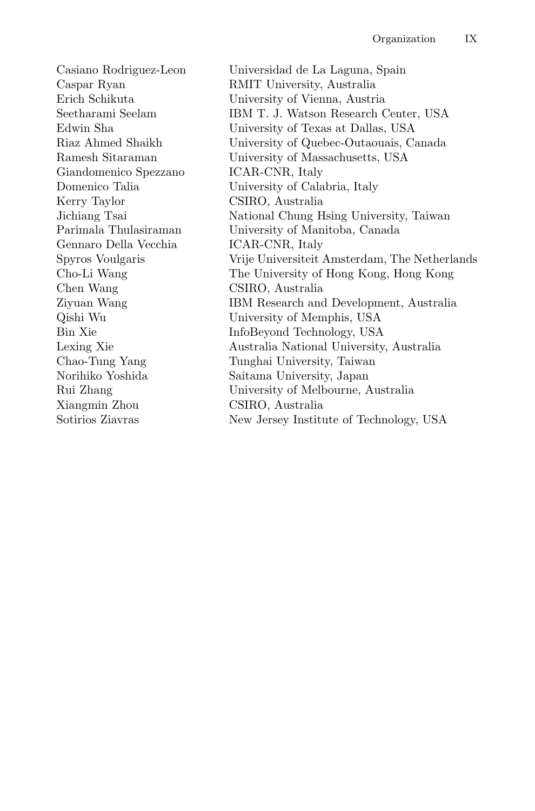Giandomenico Spezzano ICAR-CNR, Italy Kerry Taylor CSIRO, Australia Gennaro Della Vecchia ICAR-CNR, Italy Chen Wang CSIRO, Australia Xiangmin Zhou CSIRO, Australia

Casiano Rodriguez-Leon Universidad de La Laguna, Spain Caspar Ryan RMIT University, Australia University of Vienna, Austria Seetharami Seelam IBM T. J. Watson Research Center, USA Edwin Sha University of Texas at Dallas, USA Riaz Ahmed Shaikh University of Quebec-Outaouais, Canada Ramesh Sitaraman University of Massachusetts, USA Domenico Talia University of Calabria, Italy Jichiang Tsai National Chung Hsing University, Taiwan Parimala Thulasiraman University of Manitoba, Canada Spyros Voulgaris Vrije Universiteit Amsterdam, The Netherlands Cho-Li Wang The University of Hong Kong, Hong Kong Ziyuan Wang IBM Research and Development, Australia Qishi Wu University of Memphis, USA Bin Xie InfoBeyond Technology, USA Lexing Xie Australia National University, Australia Chao-Tung Yang Tunghai University, Taiwan Norihiko Yoshida Saitama University, Japan Rui Zhang University of Melbourne, Australia Sotirios Ziavras New Jersey Institute of Technology, USA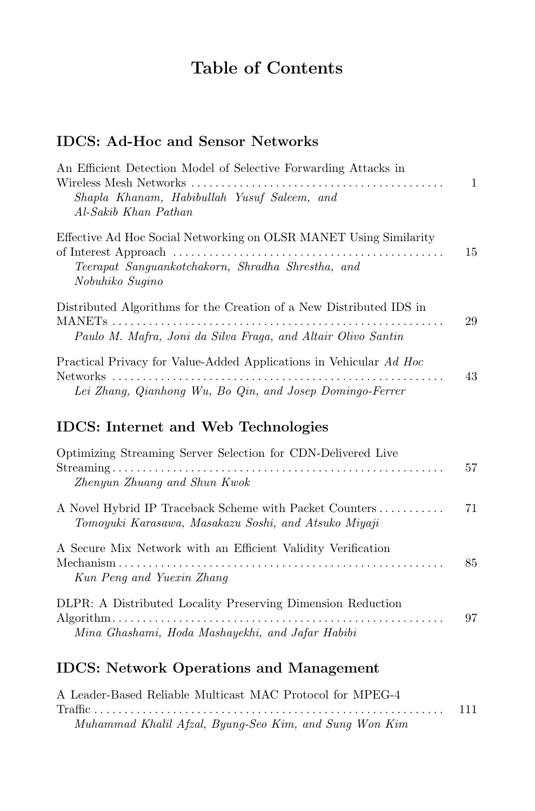# **Table of Contents**

## **IDCS: Ad-Hoc and Sensor Networks**

| An Efficient Detection Model of Selective Forwarding Attacks in<br>Shapla Khanam, Habibullah Yusuf Saleem, and<br>Al-Sakib Khan Pathan                                       | 1  |
|------------------------------------------------------------------------------------------------------------------------------------------------------------------------------|----|
| Effective Ad Hoc Social Networking on OLSR MANET Using Similarity<br>Teerapat Sanguankotchakorn, Shradha Shrestha, and<br>Nobuhiko Sugino                                    | 15 |
| Distributed Algorithms for the Creation of a New Distributed IDS in<br>Paulo M. Mafra, Joni da Silva Fraga, and Altair Olivo Santin                                          | 29 |
| Practical Privacy for Value-Added Applications in Vehicular Ad Hoc<br>Lei Zhang, Qianhong Wu, Bo Qin, and Josep Domingo-Ferrer<br><b>IDCS:</b> Internet and Web Technologies | 43 |
| Optimizing Streaming Server Selection for CDN-Delivered Live<br>Zhenyun Zhuang and Shun Kwok                                                                                 | 57 |
| A Novel Hybrid IP Traceback Scheme with Packet Counters<br>Tomoyuki Karasawa, Masakazu Soshi, and Atsuko Miyaji                                                              | 71 |
| A Secure Mix Network with an Efficient Validity Verification<br>Kun Peng and Yuexin Zhang                                                                                    | 85 |
|                                                                                                                                                                              |    |

| DLPR: A Distributed Locality Preserving Dimension Reduction |     |
|-------------------------------------------------------------|-----|
|                                                             | .97 |
| Mina Ghashami, Hoda Mashayekhi, and Jafar Habibi            |     |

## **IDCS: Network Operations and Management**

| A Leader-Based Reliable Multicast MAC Protocol for MPEG-4 |       |
|-----------------------------------------------------------|-------|
|                                                           | - 111 |
| Muhammad Khalil Afzal, Byung-Seo Kim, and Sung Won Kim    |       |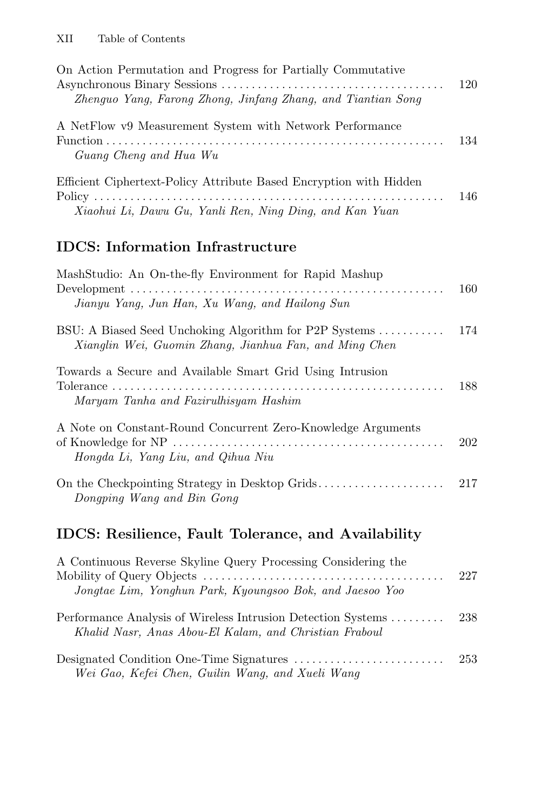| On Action Permutation and Progress for Partially Commutative<br>Zhenguo Yang, Farong Zhong, Jinfang Zhang, and Tiantian Song  | 120 |
|-------------------------------------------------------------------------------------------------------------------------------|-----|
| A NetFlow v9 Measurement System with Network Performance<br>Guang Cheng and Hua Wu                                            | 134 |
| Efficient Ciphertext-Policy Attribute Based Encryption with Hidden<br>Xiaohui Li, Dawu Gu, Yanli Ren, Ning Ding, and Kan Yuan | 146 |

## **IDCS: Information Infrastructure**

| MashStudio: An On-the-fly Environment for Rapid Mashup                                                           |     |
|------------------------------------------------------------------------------------------------------------------|-----|
|                                                                                                                  | 160 |
| Jianyu Yang, Jun Han, Xu Wang, and Hailong Sun                                                                   |     |
| BSU: A Biased Seed Unchoking Algorithm for P2P Systems<br>Xianglin Wei, Guomin Zhang, Jianhua Fan, and Ming Chen | 174 |
| Towards a Secure and Available Smart Grid Using Intrusion                                                        |     |
|                                                                                                                  | 188 |
| Maryam Tanha and Fazirulhisyam Hashim                                                                            |     |
| A Note on Constant-Round Concurrent Zero-Knowledge Arguments                                                     |     |
|                                                                                                                  | 202 |
| Hongda Li, Yang Liu, and Qihua Niu                                                                               |     |
| On the Checkpointing Strategy in Desktop Grids                                                                   | 217 |
| Dongping Wang and Bin Gong                                                                                       |     |

## **IDCS: Resilience, Fault Tolerance, and Availability**

| A Continuous Reverse Skyline Query Processing Considering the<br>Jongtae Lim, Yonghun Park, Kyoungsoo Bok, and Jaesoo Yoo | 227 |
|---------------------------------------------------------------------------------------------------------------------------|-----|
| Khalid Nasr, Anas Abou-El Kalam, and Christian Fraboul                                                                    |     |
| Wei Gao, Kefei Chen, Guilin Wang, and Xueli Wang                                                                          |     |